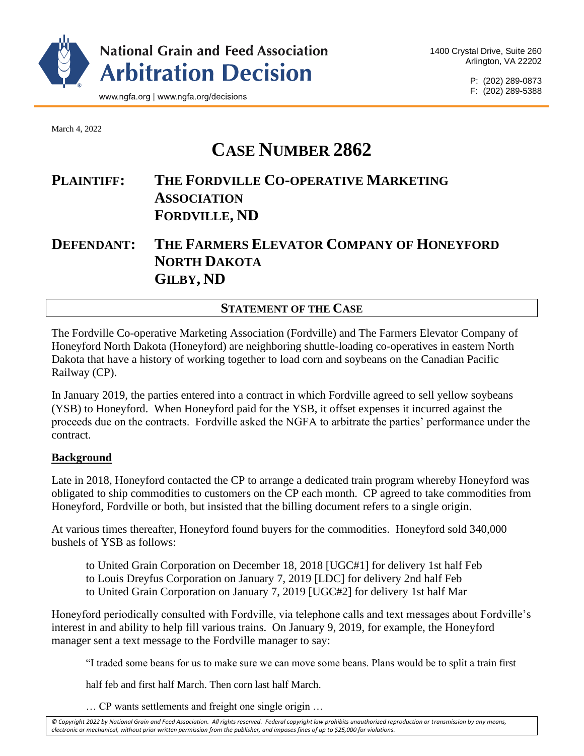

P: (202) 289-0873 F: (202) 289-5388

March 4, 2022

# **CASE NUMBER 2862**

# **PLAINTIFF: THE FORDVILLE CO-OPERATIVE MARKETING ASSOCIATION FORDVILLE, ND**

# **DEFENDANT: THE FARMERS ELEVATOR COMPANY OF HONEYFORD NORTH DAKOTA GILBY, ND**

# **STATEMENT OF THE CASE**

The Fordville Co-operative Marketing Association (Fordville) and The Farmers Elevator Company of Honeyford North Dakota (Honeyford) are neighboring shuttle-loading co-operatives in eastern North Dakota that have a history of working together to load corn and soybeans on the Canadian Pacific Railway (CP).

In January 2019, the parties entered into a contract in which Fordville agreed to sell yellow soybeans (YSB) to Honeyford. When Honeyford paid for the YSB, it offset expenses it incurred against the proceeds due on the contracts. Fordville asked the NGFA to arbitrate the parties' performance under the contract.

#### **Background**

Late in 2018, Honeyford contacted the CP to arrange a dedicated train program whereby Honeyford was obligated to ship commodities to customers on the CP each month. CP agreed to take commodities from Honeyford, Fordville or both, but insisted that the billing document refers to a single origin.

At various times thereafter, Honeyford found buyers for the commodities. Honeyford sold 340,000 bushels of YSB as follows:

to United Grain Corporation on December 18, 2018 [UGC#1] for delivery 1st half Feb to Louis Dreyfus Corporation on January 7, 2019 [LDC] for delivery 2nd half Feb to United Grain Corporation on January 7, 2019 [UGC#2] for delivery 1st half Mar

Honeyford periodically consulted with Fordville, via telephone calls and text messages about Fordville's interest in and ability to help fill various trains. On January 9, 2019, for example, the Honeyford manager sent a text message to the Fordville manager to say:

"I traded some beans for us to make sure we can move some beans. Plans would be to split a train first

half feb and first half March. Then corn last half March.

… CP wants settlements and freight one single origin …

*© Copyright 2022 by National Grain and Feed Association. All rights reserved. Federal copyright law prohibits unauthorized reproduction or transmission by any means, electronic or mechanical, without prior written permission from the publisher, and imposes fines of up to \$25,000 for violations.*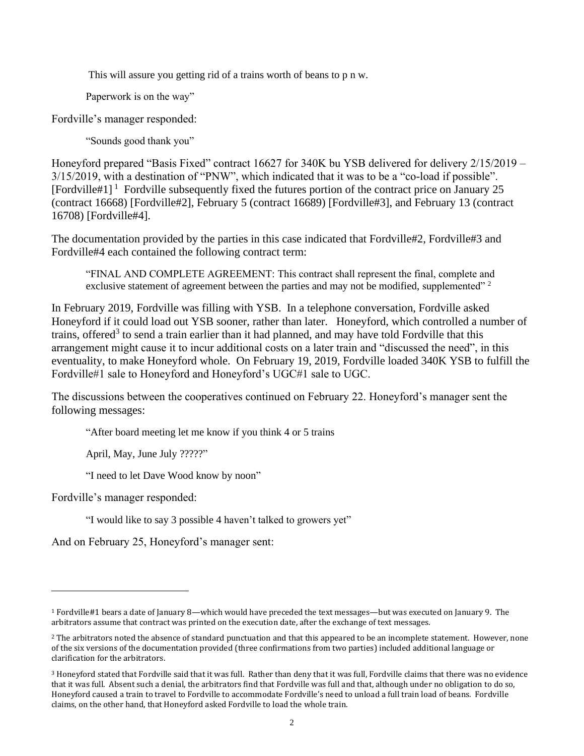This will assure you getting rid of a trains worth of beans to p n w.

Paperwork is on the way"

Fordville's manager responded:

"Sounds good thank you"

Honeyford prepared "Basis Fixed" contract 16627 for 340K bu YSB delivered for delivery 2/15/2019 – 3/15/2019, with a destination of "PNW", which indicated that it was to be a "co-load if possible". [Fordville#1]<sup>1</sup> Fordville subsequently fixed the futures portion of the contract price on January 25 (contract 16668) [Fordville#2], February 5 (contract 16689) [Fordville#3], and February 13 (contract 16708) [Fordville#4].

The documentation provided by the parties in this case indicated that Fordville#2, Fordville#3 and Fordville#4 each contained the following contract term:

"FINAL AND COMPLETE AGREEMENT: This contract shall represent the final, complete and exclusive statement of agreement between the parties and may not be modified, supplemented"  $2^{\circ}$ 

In February 2019, Fordville was filling with YSB. In a telephone conversation, Fordville asked Honeyford if it could load out YSB sooner, rather than later. Honeyford, which controlled a number of trains, offered<sup>3</sup> to send a train earlier than it had planned, and may have told Fordville that this arrangement might cause it to incur additional costs on a later train and "discussed the need", in this eventuality, to make Honeyford whole. On February 19, 2019, Fordville loaded 340K YSB to fulfill the Fordville#1 sale to Honeyford and Honeyford's UGC#1 sale to UGC.

The discussions between the cooperatives continued on February 22. Honeyford's manager sent the following messages:

"After board meeting let me know if you think 4 or 5 trains

April, May, June July ?????"

"I need to let Dave Wood know by noon"

Fordville's manager responded:

"I would like to say 3 possible 4 haven't talked to growers yet"

And on February 25, Honeyford's manager sent:

<sup>1</sup> Fordville#1 bears a date of January 8—which would have preceded the text messages—but was executed on January 9. The arbitrators assume that contract was printed on the execution date, after the exchange of text messages.

<sup>2</sup> The arbitrators noted the absence of standard punctuation and that this appeared to be an incomplete statement. However, none of the six versions of the documentation provided (three confirmations from two parties) included additional language or clarification for the arbitrators.

<sup>3</sup> Honeyford stated that Fordville said that it was full. Rather than deny that it was full, Fordville claims that there was no evidence that it was full. Absent such a denial, the arbitrators find that Fordville was full and that, although under no obligation to do so, Honeyford caused a train to travel to Fordville to accommodate Fordville's need to unload a full train load of beans. Fordville claims, on the other hand, that Honeyford asked Fordville to load the whole train.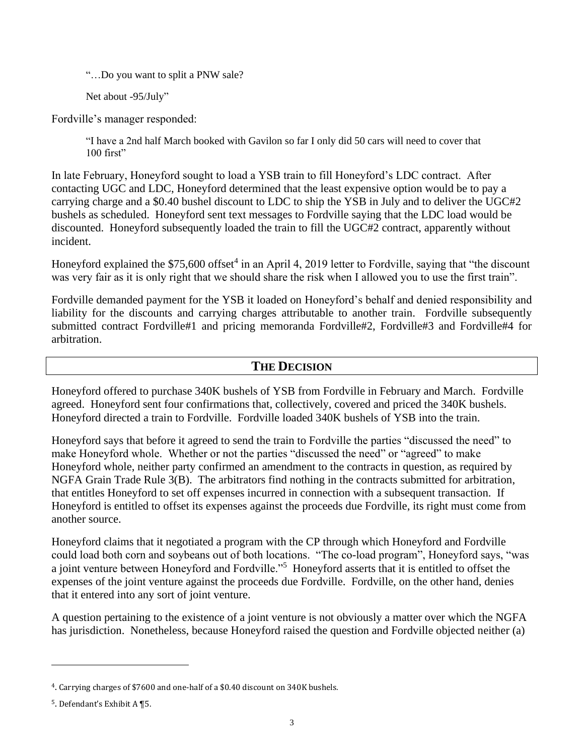"…Do you want to split a PNW sale?

Net about -95/July"

Fordville's manager responded:

"I have a 2nd half March booked with Gavilon so far I only did 50 cars will need to cover that 100 first"

In late February, Honeyford sought to load a YSB train to fill Honeyford's LDC contract. After contacting UGC and LDC, Honeyford determined that the least expensive option would be to pay a carrying charge and a \$0.40 bushel discount to LDC to ship the YSB in July and to deliver the UGC#2 bushels as scheduled. Honeyford sent text messages to Fordville saying that the LDC load would be discounted. Honeyford subsequently loaded the train to fill the UGC#2 contract, apparently without incident.

Honeyford explained the \$75,600 offset<sup>4</sup> in an April 4, 2019 letter to Fordville, saying that "the discount was very fair as it is only right that we should share the risk when I allowed you to use the first train".

Fordville demanded payment for the YSB it loaded on Honeyford's behalf and denied responsibility and liability for the discounts and carrying charges attributable to another train. Fordville subsequently submitted contract Fordville#1 and pricing memoranda Fordville#2, Fordville#3 and Fordville#4 for arbitration.

## **THE DECISION**

Honeyford offered to purchase 340K bushels of YSB from Fordville in February and March. Fordville agreed. Honeyford sent four confirmations that, collectively, covered and priced the 340K bushels. Honeyford directed a train to Fordville. Fordville loaded 340K bushels of YSB into the train.

Honeyford says that before it agreed to send the train to Fordville the parties "discussed the need" to make Honeyford whole. Whether or not the parties "discussed the need" or "agreed" to make Honeyford whole, neither party confirmed an amendment to the contracts in question, as required by NGFA Grain Trade Rule 3(B). The arbitrators find nothing in the contracts submitted for arbitration, that entitles Honeyford to set off expenses incurred in connection with a subsequent transaction. If Honeyford is entitled to offset its expenses against the proceeds due Fordville, its right must come from another source.

Honeyford claims that it negotiated a program with the CP through which Honeyford and Fordville could load both corn and soybeans out of both locations. "The co-load program", Honeyford says, "was a joint venture between Honeyford and Fordville."<sup>5</sup> Honeyford asserts that it is entitled to offset the expenses of the joint venture against the proceeds due Fordville. Fordville, on the other hand, denies that it entered into any sort of joint venture.

A question pertaining to the existence of a joint venture is not obviously a matter over which the NGFA has jurisdiction. Nonetheless, because Honeyford raised the question and Fordville objected neither (a)

<sup>4</sup>. Carrying charges of \$7600 and one-half of a \$0.40 discount on 340K bushels.

<sup>5</sup>. Defendant's Exhibit A ¶5.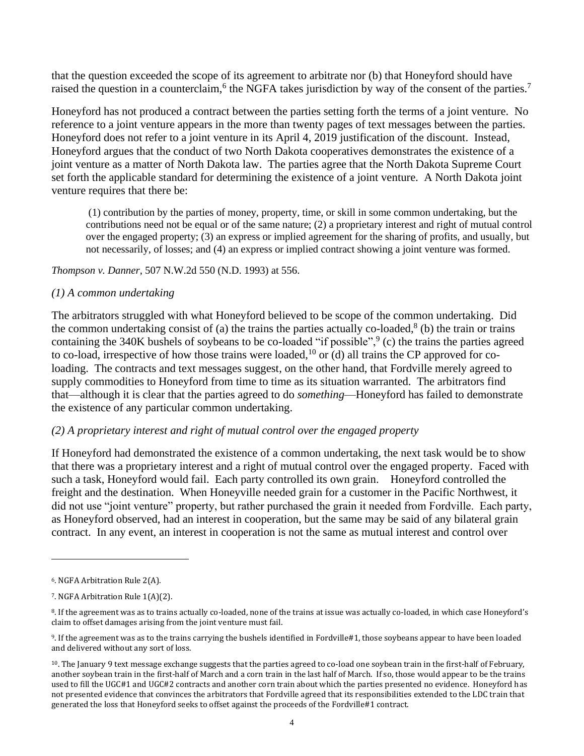that the question exceeded the scope of its agreement to arbitrate nor (b) that Honeyford should have raised the question in a counterclaim,  $6$  the NGFA takes jurisdiction by way of the consent of the parties.<sup>7</sup>

Honeyford has not produced a contract between the parties setting forth the terms of a joint venture. No reference to a joint venture appears in the more than twenty pages of text messages between the parties. Honeyford does not refer to a joint venture in its April 4, 2019 justification of the discount. Instead, Honeyford argues that the conduct of two North Dakota cooperatives demonstrates the existence of a joint venture as a matter of North Dakota law. The parties agree that the North Dakota Supreme Court set forth the applicable standard for determining the existence of a joint venture. A North Dakota joint venture requires that there be:

(1) contribution by the parties of money, property, time, or skill in some common undertaking, but the contributions need not be equal or of the same nature; (2) a proprietary interest and right of mutual control over the engaged property; (3) an express or implied agreement for the sharing of profits, and usually, but not necessarily, of losses; and (4) an express or implied contract showing a joint venture was formed.

*Thompson v. Danner*, 507 N.W.2d 550 (N.D. 1993) at 556.

#### *(1) A common undertaking*

The arbitrators struggled with what Honeyford believed to be scope of the common undertaking. Did the common undertaking consist of (a) the trains the parties actually co-loaded, $8$  (b) the train or trains containing the 340K bushels of soybeans to be co-loaded "if possible",  $\degree$  (c) the trains the parties agreed to co-load, irrespective of how those trains were loaded,<sup>10</sup> or (d) all trains the CP approved for coloading. The contracts and text messages suggest, on the other hand, that Fordville merely agreed to supply commodities to Honeyford from time to time as its situation warranted. The arbitrators find that—although it is clear that the parties agreed to do *something*—Honeyford has failed to demonstrate the existence of any particular common undertaking.

#### *(2) A proprietary interest and right of mutual control over the engaged property*

If Honeyford had demonstrated the existence of a common undertaking, the next task would be to show that there was a proprietary interest and a right of mutual control over the engaged property. Faced with such a task, Honeyford would fail. Each party controlled its own grain. Honeyford controlled the freight and the destination. When Honeyville needed grain for a customer in the Pacific Northwest, it did not use "joint venture" property, but rather purchased the grain it needed from Fordville. Each party, as Honeyford observed, had an interest in cooperation, but the same may be said of any bilateral grain contract. In any event, an interest in cooperation is not the same as mutual interest and control over

<sup>6</sup>. NGFA Arbitration Rule 2(A).

<sup>7</sup>. NGFA Arbitration Rule 1(A)(2).

<sup>8</sup>. If the agreement was as to trains actually co-loaded, none of the trains at issue was actually co-loaded, in which case Honeyford's claim to offset damages arising from the joint venture must fail.

<sup>9</sup>. If the agreement was as to the trains carrying the bushels identified in Fordville#1, those soybeans appear to have been loaded and delivered without any sort of loss.

<sup>10</sup>. The January 9 text message exchange suggests that the parties agreed to co-load one soybean train in the first-half of February, another soybean train in the first-half of March and a corn train in the last half of March. If so, those would appear to be the trains used to fill the UGC#1 and UGC#2 contracts and another corn train about which the parties presented no evidence. Honeyford has not presented evidence that convinces the arbitrators that Fordville agreed that its responsibilities extended to the LDC train that generated the loss that Honeyford seeks to offset against the proceeds of the Fordville#1 contract.